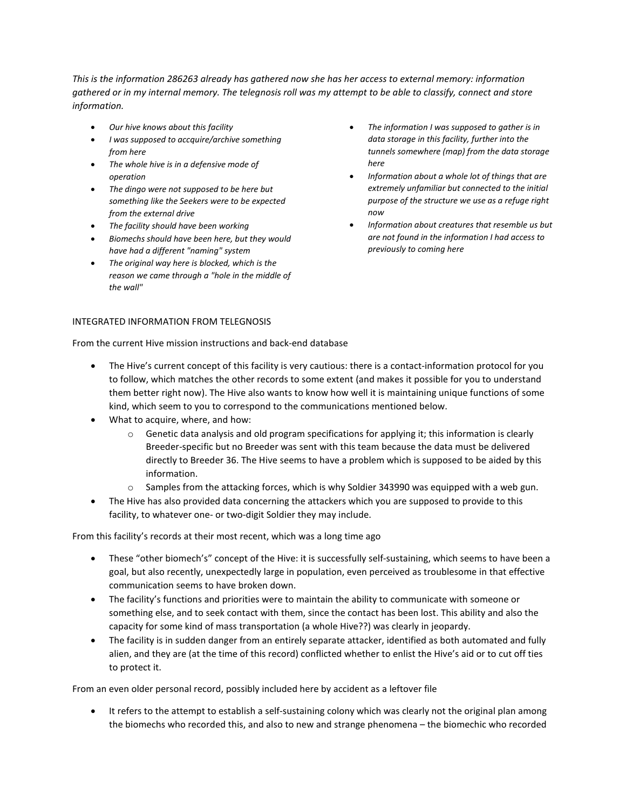*This is the information 286263 already has gathered now she has her access to external memory: information gathered or in my internal memory. The telegnosis roll was my attempt to be able to classify, connect and store information.*

- *Our hive knows about this facility*
- *I was supposed to accquire/archive something from here*
- *The whole hive is in a defensive mode of operation*
- *The dingo were not supposed to be here but something like the Seekers were to be expected from the external drive*
- *The facility should have been working*
- *Biomechs should have been here, but they would have had a different "naming" system*
- *The original way here is blocked, which is the reason we came through a "hole in the middle of the wall"*
- INTEGRATED INFORMATION FROM TELEGNOSIS
- *The information I was supposed to gather is in data storage in this facility, further into the tunnels somewhere (map) from the data storage here*
- *Information about a whole lot of things that are extremely unfamiliar but connected to the initial purpose of the structure we use as a refuge right now*
- *Information about creatures that resemble us but are not found in the information I had access to previously to coming here*

From the current Hive mission instructions and back-end database

- The Hive's current concept of this facility is very cautious: there is a contact-information protocol for you to follow, which matches the other records to some extent (and makes it possible for you to understand them better right now). The Hive also wants to know how well it is maintaining unique functions of some kind, which seem to you to correspond to the communications mentioned below.
- What to acquire, where, and how:
	- $\circ$  Genetic data analysis and old program specifications for applying it; this information is clearly Breeder-specific but no Breeder was sent with this team because the data must be delivered directly to Breeder 36. The Hive seems to have a problem which is supposed to be aided by this information.
	- $\circ$  Samples from the attacking forces, which is why Soldier 343990 was equipped with a web gun.
- The Hive has also provided data concerning the attackers which you are supposed to provide to this facility, to whatever one- or two-digit Soldier they may include.

From this facility's records at their most recent, which was a long time ago

- These "other biomech's" concept of the Hive: it is successfully self-sustaining, which seems to have been a goal, but also recently, unexpectedly large in population, even perceived as troublesome in that effective communication seems to have broken down.
- The facility's functions and priorities were to maintain the ability to communicate with someone or something else, and to seek contact with them, since the contact has been lost. This ability and also the capacity for some kind of mass transportation (a whole Hive??) was clearly in jeopardy.
- The facility is in sudden danger from an entirely separate attacker, identified as both automated and fully alien, and they are (at the time of this record) conflicted whether to enlist the Hive's aid or to cut off ties to protect it.

From an even older personal record, possibly included here by accident as a leftover file

• It refers to the attempt to establish a self-sustaining colony which was clearly not the original plan among the biomechs who recorded this, and also to new and strange phenomena – the biomechic who recorded